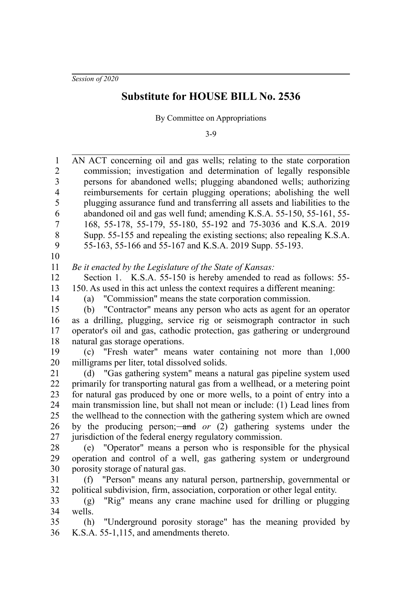*Session of 2020*

## **Substitute for HOUSE BILL No. 2536**

By Committee on Appropriations

3-9

AN ACT concerning oil and gas wells; relating to the state corporation commission; investigation and determination of legally responsible persons for abandoned wells; plugging abandoned wells; authorizing reimbursements for certain plugging operations; abolishing the well plugging assurance fund and transferring all assets and liabilities to the abandoned oil and gas well fund; amending K.S.A. 55-150, 55-161, 55- 168, 55-178, 55-179, 55-180, 55-192 and 75-3036 and K.S.A. 2019 Supp. 55-155 and repealing the existing sections; also repealing K.S.A. 55-163, 55-166 and 55-167 and K.S.A. 2019 Supp. 55-193. *Be it enacted by the Legislature of the State of Kansas:* Section 1. K.S.A. 55-150 is hereby amended to read as follows: 55-150. As used in this act unless the context requires a different meaning: (a) "Commission" means the state corporation commission. (b) "Contractor" means any person who acts as agent for an operator as a drilling, plugging, service rig or seismograph contractor in such operator's oil and gas, cathodic protection, gas gathering or underground natural gas storage operations. (c) "Fresh water" means water containing not more than 1,000 milligrams per liter, total dissolved solids. (d) "Gas gathering system" means a natural gas pipeline system used primarily for transporting natural gas from a wellhead, or a metering point for natural gas produced by one or more wells, to a point of entry into a main transmission line, but shall not mean or include: (1) Lead lines from the wellhead to the connection with the gathering system which are owned by the producing person;—and *or* (2) gathering systems under the jurisdiction of the federal energy regulatory commission. (e) "Operator" means a person who is responsible for the physical operation and control of a well, gas gathering system or underground porosity storage of natural gas. (f) "Person" means any natural person, partnership, governmental or political subdivision, firm, association, corporation or other legal entity. (g) "Rig" means any crane machine used for drilling or plugging wells. (h) "Underground porosity storage" has the meaning provided by K.S.A. 55-1,115, and amendments thereto. 1 2 3 4 5 6 7 8 9 10 11 12 13 14 15 16 17 18 19 20 21 22 23 24 25 26 27 28 29 30 31 32 33 34 35 36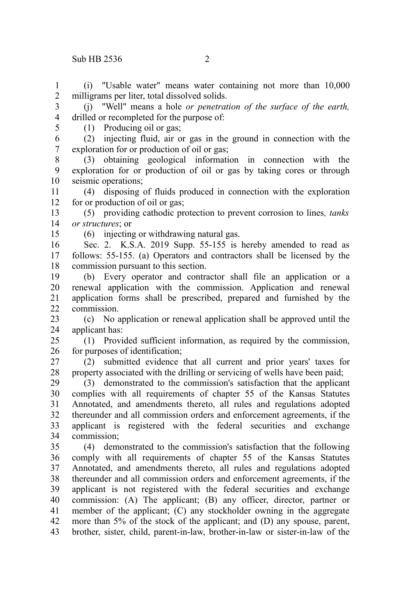## $\sinh$  HB 2536 2

(i) "Usable water" means water containing not more than 10,000 milligrams per liter, total dissolved solids. 1 2

(j) "Well" means a hole *or penetration of the surface of the earth,* drilled or recompleted for the purpose of: 3 4

5

(1) Producing oil or gas;

(2) injecting fluid, air or gas in the ground in connection with the exploration for or production of oil or gas; 6 7

(3) obtaining geological information in connection with the exploration for or production of oil or gas by taking cores or through seismic operations; 8 9 10

(4) disposing of fluids produced in connection with the exploration for or production of oil or gas; 11 12

(5) providing cathodic protection to prevent corrosion to lines*, tanks or structures*; or 13 14

15

(6) injecting or withdrawing natural gas.

Sec. 2. K.S.A. 2019 Supp. 55-155 is hereby amended to read as follows: 55-155. (a) Operators and contractors shall be licensed by the commission pursuant to this section. 16 17 18

(b) Every operator and contractor shall file an application or a renewal application with the commission. Application and renewal application forms shall be prescribed, prepared and furnished by the commission. 19 20 21 22

(c) No application or renewal application shall be approved until the applicant has: 23 24

(1) Provided sufficient information, as required by the commission, for purposes of identification; 25 26

(2) submitted evidence that all current and prior years' taxes for property associated with the drilling or servicing of wells have been paid; 27 28

(3) demonstrated to the commission's satisfaction that the applicant complies with all requirements of chapter 55 of the Kansas Statutes Annotated, and amendments thereto, all rules and regulations adopted thereunder and all commission orders and enforcement agreements, if the applicant is registered with the federal securities and exchange commission; 29 30 31 32 33 34

(4) demonstrated to the commission's satisfaction that the following comply with all requirements of chapter 55 of the Kansas Statutes Annotated, and amendments thereto, all rules and regulations adopted thereunder and all commission orders and enforcement agreements, if the applicant is not registered with the federal securities and exchange commission: (A) The applicant; (B) any officer, director, partner or member of the applicant; (C) any stockholder owning in the aggregate more than 5% of the stock of the applicant; and (D) any spouse, parent, brother, sister, child, parent-in-law, brother-in-law or sister-in-law of the 35 36 37 38 39 40 41 42 43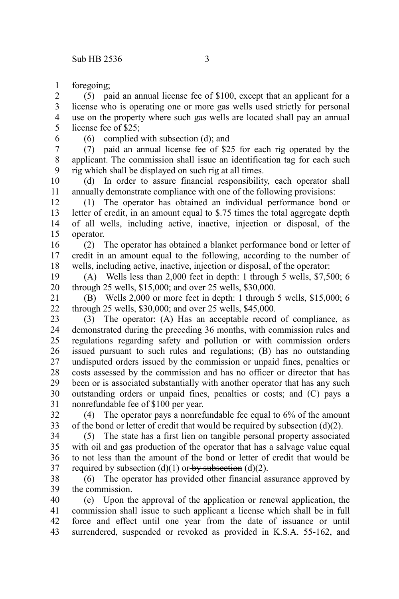foregoing; 1

(5) paid an annual license fee of \$100, except that an applicant for a license who is operating one or more gas wells used strictly for personal use on the property where such gas wells are located shall pay an annual license fee of \$25; 2 3 4 5

- 6
- (6) complied with subsection (d); and

(7) paid an annual license fee of \$25 for each rig operated by the applicant. The commission shall issue an identification tag for each such rig which shall be displayed on such rig at all times. 7 8 9

(d) In order to assure financial responsibility, each operator shall annually demonstrate compliance with one of the following provisions: 10 11

(1) The operator has obtained an individual performance bond or letter of credit, in an amount equal to \$.75 times the total aggregate depth of all wells, including active, inactive, injection or disposal, of the operator. 12 13 14 15

(2) The operator has obtained a blanket performance bond or letter of credit in an amount equal to the following, according to the number of wells, including active, inactive, injection or disposal, of the operator: 16 17 18

(A) Wells less than 2,000 feet in depth: 1 through 5 wells, \$7,500; 6 through 25 wells, \$15,000; and over 25 wells, \$30,000. 19 20

(B) Wells 2,000 or more feet in depth: 1 through 5 wells, \$15,000; 6 through 25 wells, \$30,000; and over 25 wells, \$45,000. 21 22

(3) The operator: (A) Has an acceptable record of compliance, as demonstrated during the preceding 36 months, with commission rules and regulations regarding safety and pollution or with commission orders issued pursuant to such rules and regulations; (B) has no outstanding undisputed orders issued by the commission or unpaid fines, penalties or costs assessed by the commission and has no officer or director that has been or is associated substantially with another operator that has any such outstanding orders or unpaid fines, penalties or costs; and (C) pays a nonrefundable fee of \$100 per year. 23 24 25 26 27 28 29 30 31

(4) The operator pays a nonrefundable fee equal to 6% of the amount of the bond or letter of credit that would be required by subsection  $(d)(2)$ . 32 33

(5) The state has a first lien on tangible personal property associated with oil and gas production of the operator that has a salvage value equal to not less than the amount of the bond or letter of credit that would be required by subsection (d)(1) or by subsection (d)(2). 34 35 36 37

(6) The operator has provided other financial assurance approved by the commission. 38 39

(e) Upon the approval of the application or renewal application, the commission shall issue to such applicant a license which shall be in full force and effect until one year from the date of issuance or until surrendered, suspended or revoked as provided in K.S.A. 55-162, and 40 41 42 43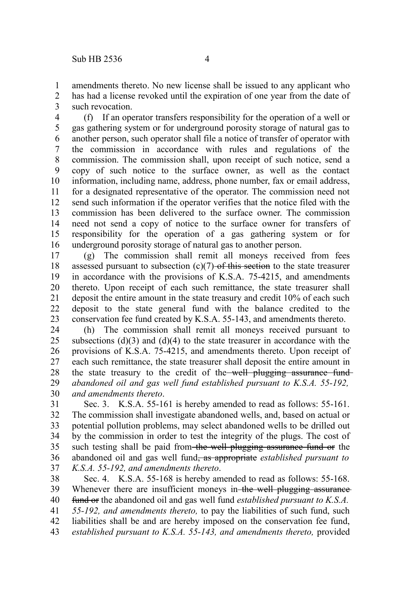amendments thereto. No new license shall be issued to any applicant who has had a license revoked until the expiration of one year from the date of such revocation. 1 2 3

(f) If an operator transfers responsibility for the operation of a well or gas gathering system or for underground porosity storage of natural gas to another person, such operator shall file a notice of transfer of operator with the commission in accordance with rules and regulations of the commission. The commission shall, upon receipt of such notice, send a copy of such notice to the surface owner, as well as the contact information, including name, address, phone number, fax or email address, for a designated representative of the operator. The commission need not send such information if the operator verifies that the notice filed with the commission has been delivered to the surface owner. The commission need not send a copy of notice to the surface owner for transfers of responsibility for the operation of a gas gathering system or for underground porosity storage of natural gas to another person. 4 5 6 7 8 9 10 11 12 13 14 15 16

(g) The commission shall remit all moneys received from fees assessed pursuant to subsection  $(c)(7)$  of this section to the state treasurer in accordance with the provisions of K.S.A. 75-4215, and amendments thereto. Upon receipt of each such remittance, the state treasurer shall deposit the entire amount in the state treasury and credit 10% of each such deposit to the state general fund with the balance credited to the conservation fee fund created by K.S.A. 55-143, and amendments thereto. 17 18 19 20 21 22 23

(h) The commission shall remit all moneys received pursuant to subsections  $(d)(3)$  and  $(d)(4)$  to the state treasurer in accordance with the provisions of K.S.A. 75-4215, and amendments thereto. Upon receipt of each such remittance, the state treasurer shall deposit the entire amount in the state treasury to the credit of the well plugging assurance fund*abandoned oil and gas well fund established pursuant to K.S.A. 55-192, and amendments thereto*. 24 25 26 27 28 29 30

Sec. 3. K.S.A. 55-161 is hereby amended to read as follows: 55-161. The commission shall investigate abandoned wells, and, based on actual or potential pollution problems, may select abandoned wells to be drilled out by the commission in order to test the integrity of the plugs. The cost of such testing shall be paid from the well plugging assurance fund or the abandoned oil and gas well fund, as appropriate *established pursuant to K.S.A. 55-192, and amendments thereto*. 31 32 33 34 35 36 37

Sec. 4. K.S.A. 55-168 is hereby amended to read as follows: 55-168. Whenever there are insufficient moneys in the well plugging assurance fund or the abandoned oil and gas well fund *established pursuant to K.S.A. 55-192, and amendments thereto,* to pay the liabilities of such fund, such liabilities shall be and are hereby imposed on the conservation fee fund, *established pursuant to K.S.A. 55-143, and amendments thereto,* provided 38 39 40 41 42 43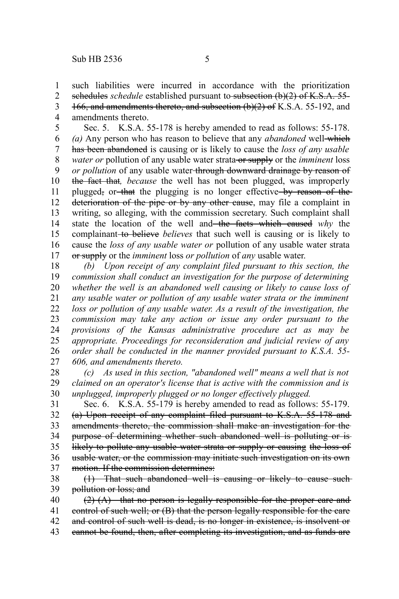such liabilities were incurred in accordance with the prioritization schedules *schedule* established pursuant to subsection (b)(2) of K.S.A. 55-1 2

166, and amendments thereto, and subsection (b)(2) of K.S.A. 55-192, and 3

amendments thereto. 4

Sec. 5. K.S.A. 55-178 is hereby amended to read as follows: 55-178. (a) Any person who has reason to believe that any *abandoned* well-which has been abandoned is causing or is likely to cause the *loss of any usable water or* pollution of any usable water strata or supply or the *imminent* loss *or pollution* of any usable water through downward drainage by reason of the fact that*, because* the well has not been plugged, was improperly plugged, or that the plugging is no longer effective by reason of the deterioration of the pipe or by any other cause, may file a complaint in writing, so alleging, with the commission secretary. Such complaint shall state the location of the well and the facts which caused *why* the complainant to believe *believes* that such well is causing or is likely to cause the *loss of any usable water or* pollution of any usable water strata or supply or the *imminent* loss *or pollution* of *any* usable water. 5 6 7 8 9 10 11 12 13 14 15 16 17

*(b) Upon receipt of any complaint filed pursuant to this section, the commission shall conduct an investigation for the purpose of determining whether the well is an abandoned well causing or likely to cause loss of any usable water or pollution of any usable water strata or the imminent loss or pollution of any usable water. As a result of the investigation, the commission may take any action or issue any order pursuant to the provisions of the Kansas administrative procedure act as may be appropriate. Proceedings for reconsideration and judicial review of any order shall be conducted in the manner provided pursuant to K.S.A. 55- 606, and amendments thereto.* 18 19 20 21 22 23 24 25 26 27

*(c) As used in this section, "abandoned well" means a well that is not claimed on an operator's license that is active with the commission and is unplugged, improperly plugged or no longer effectively plugged.* 28 29 30

Sec. 6. K.S.A. 55-179 is hereby amended to read as follows: 55-179. (a) Upon receipt of any complaint filed pursuant to K.S.A. 55-178 and amendments thereto, the commission shall make an investigation for the purpose of determining whether such abandoned well is polluting or is likely to pollute any usable water strata or supply or causing the loss of usable water, or the commission may initiate such investigation on its own motion. If the commission determines: 31 32 33 34 35 36 37

(1) That such abandoned well is causing or likely to cause such pollution or loss; and 38 39

(2) (A) that no person is legally responsible for the proper care and control of such well; or (B) that the person legally responsible for the care and control of such well is dead, is no longer in existence, is insolvent or cannot be found, then, after completing its investigation, and as funds are 40 41 42 43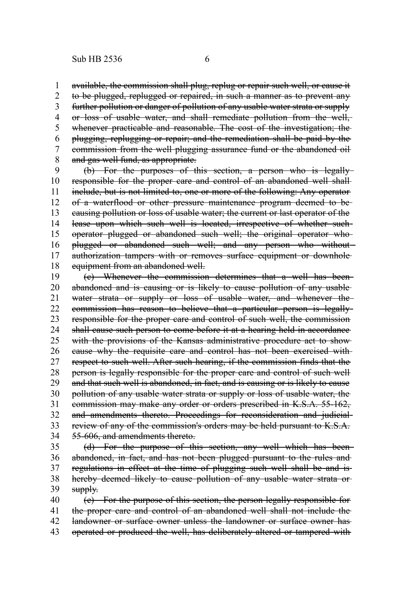available, the commission shall plug, replug or repair such well, or cause it to be plugged, replugged or repaired, in such a manner as to prevent any further pollution or danger of pollution of any usable water strata or supply or loss of usable water, and shall remediate pollution from the well, whenever practicable and reasonable. The cost of the investigation; the plugging, replugging or repair; and the remediation shall be paid by the commission from the well plugging assurance fund or the abandoned oil and gas well fund, as appropriate. 1 2 3 4 5 6 7 8

(b) For the purposes of this section, a person who is legally responsible for the proper care and control of an abandoned well shall include, but is not limited to, one or more of the following: Any operator of a waterflood or other pressure maintenance program deemed to be causing pollution or loss of usable water; the current or last operator of the lease upon which such well is located, irrespective of whether such operator plugged or abandoned such well; the original operator who plugged or abandoned such well; and any person who without authorization tampers with or removes surface equipment or downhole equipment from an abandoned well. 9 10 11 12 13 14 15 16 17 18

(c) Whenever the commission determines that a well has been abandoned and is causing or is likely to cause pollution of any usable water strata or supply or loss of usable water, and whenever the commission has reason to believe that a particular person is legally responsible for the proper care and control of such well, the commission shall cause such person to come before it at a hearing held in accordance with the provisions of the Kansas administrative procedure act to show cause why the requisite care and control has not been exercised with respect to such well. After such hearing, if the commission finds that the person is legally responsible for the proper care and control of such well and that such well is abandoned, in fact, and is causing or is likely to cause pollution of any usable water strata or supply or loss of usable water, the commission may make any order or orders prescribed in K.S.A. 55-162, and amendments thereto. Proceedings for reconsideration and judicialreview of any of the commission's orders may be held pursuant to K.S.A. 55-606, and amendments thereto. 19 20 21 22 23 24 25 26 27 28 29 30 31 32 33 34

(d) For the purpose of this section, any well which has been abandoned, in fact, and has not been plugged pursuant to the rules and regulations in effect at the time of plugging such well shall be and is hereby deemed likely to cause pollution of any usable water strata orsupply. 35 36 37 38 39

(e) For the purpose of this section, the person legally responsible for the proper care and control of an abandoned well shall not include the landowner or surface owner unless the landowner or surface owner has operated or produced the well, has deliberately altered or tampered with 40 41 42 43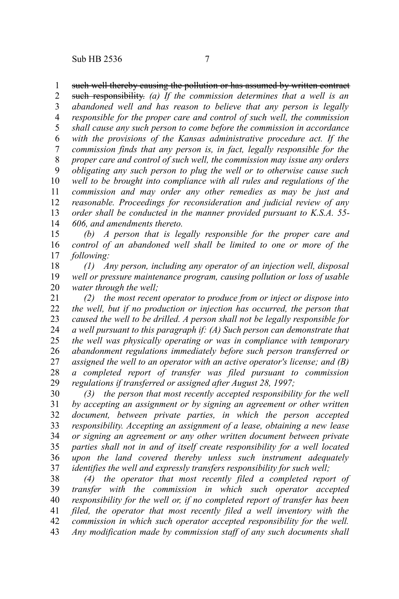## such well thereby causing the pollution or has assumed by written contract 1

such responsibility. *(a) If the commission determines that a well is an abandoned well and has reason to believe that any person is legally responsible for the proper care and control of such well, the commission shall cause any such person to come before the commission in accordance with the provisions of the Kansas administrative procedure act. If the commission finds that any person is, in fact, legally responsible for the proper care and control of such well, the commission may issue any orders obligating any such person to plug the well or to otherwise cause such well to be brought into compliance with all rules and regulations of the commission and may order any other remedies as may be just and reasonable. Proceedings for reconsideration and judicial review of any order shall be conducted in the manner provided pursuant to K.S.A. 55- 606, and amendments thereto.* 2 3 4 5 6 7 8 9 10 11 12 13 14

*(b) A person that is legally responsible for the proper care and control of an abandoned well shall be limited to one or more of the following:* 15 16 17

*(1) Any person, including any operator of an injection well, disposal well or pressure maintenance program, causing pollution or loss of usable water through the well;* 18 19 20

*(2) the most recent operator to produce from or inject or dispose into the well, but if no production or injection has occurred, the person that caused the well to be drilled. A person shall not be legally responsible for a well pursuant to this paragraph if: (A) Such person can demonstrate that the well was physically operating or was in compliance with temporary abandonment regulations immediately before such person transferred or assigned the well to an operator with an active operator's license; and (B) a completed report of transfer was filed pursuant to commission regulations if transferred or assigned after August 28, 1997;* 21 22 23 24 25 26 27 28 29

*(3) the person that most recently accepted responsibility for the well by accepting an assignment or by signing an agreement or other written document, between private parties, in which the person accepted responsibility. Accepting an assignment of a lease, obtaining a new lease or signing an agreement or any other written document between private parties shall not in and of itself create responsibility for a well located upon the land covered thereby unless such instrument adequately identifies the well and expressly transfers responsibility for such well;* 30 31 32 33 34 35 36 37

*(4) the operator that most recently filed a completed report of transfer with the commission in which such operator accepted responsibility for the well or, if no completed report of transfer has been filed, the operator that most recently filed a well inventory with the commission in which such operator accepted responsibility for the well. Any modification made by commission staff of any such documents shall* 38 39 40 41 42 43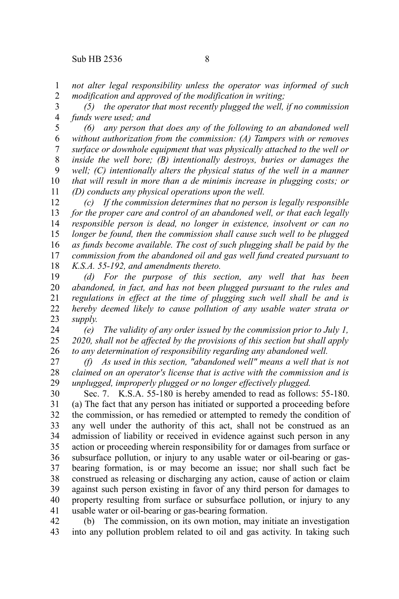*not alter legal responsibility unless the operator was informed of such modification and approved of the modification in writing;* 1 2

*(5) the operator that most recently plugged the well, if no commission funds were used; and* 3 4

*(6) any person that does any of the following to an abandoned well without authorization from the commission: (A) Tampers with or removes surface or downhole equipment that was physically attached to the well or inside the well bore; (B) intentionally destroys, buries or damages the well; (C) intentionally alters the physical status of the well in a manner that will result in more than a de minimis increase in plugging costs; or (D) conducts any physical operations upon the well.* 5 6 7 8 9 10 11

*(c) If the commission determines that no person is legally responsible for the proper care and control of an abandoned well, or that each legally responsible person is dead, no longer in existence, insolvent or can no longer be found, then the commission shall cause such well to be plugged as funds become available. The cost of such plugging shall be paid by the commission from the abandoned oil and gas well fund created pursuant to K.S.A. 55-192, and amendments thereto.* 12 13 14 15 16 17 18

*(d) For the purpose of this section, any well that has been abandoned, in fact, and has not been plugged pursuant to the rules and regulations in effect at the time of plugging such well shall be and is hereby deemed likely to cause pollution of any usable water strata or supply.* 19 20 21 22 23

*(e) The validity of any order issued by the commission prior to July 1, 2020, shall not be affected by the provisions of this section but shall apply to any determination of responsibility regarding any abandoned well.* 24 25 26

*(f) As used in this section, "abandoned well" means a well that is not claimed on an operator's license that is active with the commission and is unplugged, improperly plugged or no longer effectively plugged.* 27 28 29

Sec. 7. K.S.A. 55-180 is hereby amended to read as follows: 55-180. (a) The fact that any person has initiated or supported a proceeding before the commission, or has remedied or attempted to remedy the condition of any well under the authority of this act, shall not be construed as an admission of liability or received in evidence against such person in any action or proceeding wherein responsibility for or damages from surface or subsurface pollution, or injury to any usable water or oil-bearing or gasbearing formation, is or may become an issue; nor shall such fact be construed as releasing or discharging any action, cause of action or claim against such person existing in favor of any third person for damages to property resulting from surface or subsurface pollution, or injury to any usable water or oil-bearing or gas-bearing formation. 30 31 32 33 34 35 36 37 38 39 40 41

(b) The commission, on its own motion, may initiate an investigation into any pollution problem related to oil and gas activity. In taking such 42 43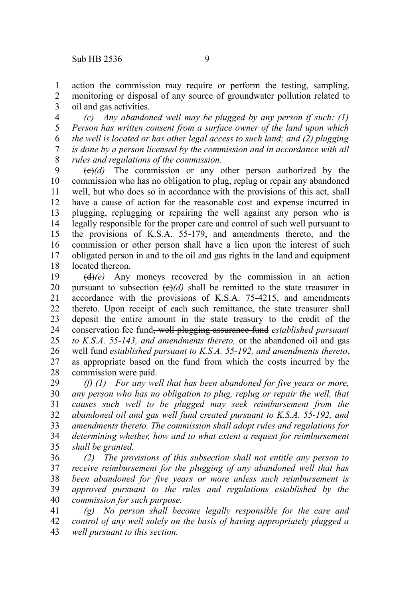action the commission may require or perform the testing, sampling, monitoring or disposal of any source of groundwater pollution related to oil and gas activities. 1 2 3

*(c) Any abandoned well may be plugged by any person if such: (1) Person has written consent from a surface owner of the land upon which the well is located or has other legal access to such land; and (2) plugging is done by a person licensed by the commission and in accordance with all rules and regulations of the commission.* 4 5 6 7 8

 $\left(\frac{e}{e}\right)$  The commission or any other person authorized by the commission who has no obligation to plug, replug or repair any abandoned well, but who does so in accordance with the provisions of this act, shall have a cause of action for the reasonable cost and expense incurred in plugging, replugging or repairing the well against any person who is legally responsible for the proper care and control of such well pursuant to the provisions of K.S.A. 55-179, and amendments thereto, and the commission or other person shall have a lien upon the interest of such obligated person in and to the oil and gas rights in the land and equipment located thereon. 9 10 11 12 13 14 15 16 17 18

(d)*(e)* Any moneys recovered by the commission in an action pursuant to subsection  $\left(\frac{e}{d}\right)$  shall be remitted to the state treasurer in accordance with the provisions of K.S.A. 75-4215, and amendments thereto. Upon receipt of each such remittance, the state treasurer shall deposit the entire amount in the state treasury to the credit of the conservation fee fund, well plugging assurance fund *established pursuant to K.S.A. 55-143, and amendments thereto,* or the abandoned oil and gas well fund *established pursuant to K.S.A. 55-192, and amendments thereto*, as appropriate based on the fund from which the costs incurred by the commission were paid. 19 20 21 22 23 24 25 26 27 28

*(f) (1) For any well that has been abandoned for five years or more, any person who has no obligation to plug, replug or repair the well, that causes such well to be plugged may seek reimbursement from the abandoned oil and gas well fund created pursuant to K.S.A. 55-192, and amendments thereto. The commission shall adopt rules and regulations for determining whether, how and to what extent a request for reimbursement shall be granted.* 29 30 31 32 33 34 35

*(2) The provisions of this subsection shall not entitle any person to receive reimbursement for the plugging of any abandoned well that has been abandoned for five years or more unless such reimbursement is approved pursuant to the rules and regulations established by the commission for such purpose.* 36 37 38 39 40

*(g) No person shall become legally responsible for the care and control of any well solely on the basis of having appropriately plugged a well pursuant to this section.* 41 42 43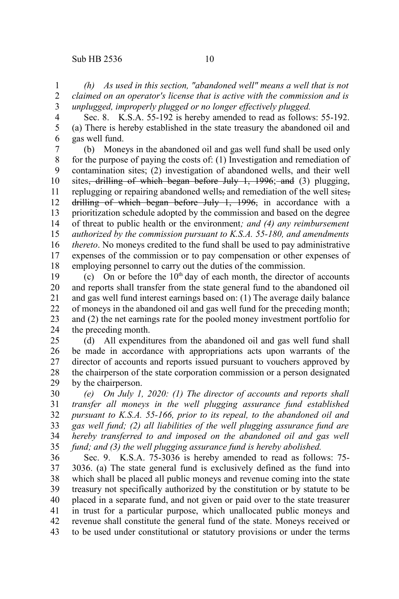*(h) As used in this section, "abandoned well" means a well that is not claimed on an operator's license that is active with the commission and is unplugged, improperly plugged or no longer effectively plugged.* 1 2 3

Sec. 8. K.S.A. 55-192 is hereby amended to read as follows: 55-192. (a) There is hereby established in the state treasury the abandoned oil and gas well fund. 4 5 6

(b) Moneys in the abandoned oil and gas well fund shall be used only for the purpose of paying the costs of: (1) Investigation and remediation of contamination sites; (2) investigation of abandoned wells, and their well sites<del>, drilling of which began before July 1, 1996; and</del> (3) plugging, replugging or repairing abandoned wells, and remediation of the well sites, drilling of which began before July 1, 1996, in accordance with a prioritization schedule adopted by the commission and based on the degree of threat to public health or the environment*; and (4) any reimbursement authorized by the commission pursuant to K.S.A. 55-180, and amendments thereto*. No moneys credited to the fund shall be used to pay administrative expenses of the commission or to pay compensation or other expenses of employing personnel to carry out the duties of the commission. 7 8 9 10 11 12 13 14 15 16 17 18

(c) On or before the  $10<sup>th</sup>$  day of each month, the director of accounts and reports shall transfer from the state general fund to the abandoned oil and gas well fund interest earnings based on: (1) The average daily balance of moneys in the abandoned oil and gas well fund for the preceding month; and (2) the net earnings rate for the pooled money investment portfolio for the preceding month. 19 20 21 22 23 24

(d) All expenditures from the abandoned oil and gas well fund shall be made in accordance with appropriations acts upon warrants of the director of accounts and reports issued pursuant to vouchers approved by the chairperson of the state corporation commission or a person designated by the chairperson. 25 26 27 28 29

*(e) On July 1, 2020: (1) The director of accounts and reports shall transfer all moneys in the well plugging assurance fund established pursuant to K.S.A. 55-166, prior to its repeal, to the abandoned oil and gas well fund; (2) all liabilities of the well plugging assurance fund are hereby transferred to and imposed on the abandoned oil and gas well fund; and (3) the well plugging assurance fund is hereby abolished.* 30 31 32 33 34 35

Sec. 9. K.S.A. 75-3036 is hereby amended to read as follows: 75- 3036. (a) The state general fund is exclusively defined as the fund into which shall be placed all public moneys and revenue coming into the state treasury not specifically authorized by the constitution or by statute to be placed in a separate fund, and not given or paid over to the state treasurer in trust for a particular purpose, which unallocated public moneys and revenue shall constitute the general fund of the state. Moneys received or to be used under constitutional or statutory provisions or under the terms 36 37 38 39 40 41 42 43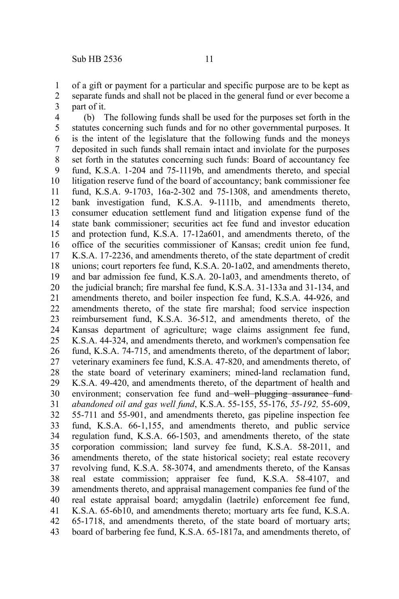of a gift or payment for a particular and specific purpose are to be kept as separate funds and shall not be placed in the general fund or ever become a part of it. 1 2 3

(b) The following funds shall be used for the purposes set forth in the statutes concerning such funds and for no other governmental purposes. It is the intent of the legislature that the following funds and the moneys deposited in such funds shall remain intact and inviolate for the purposes set forth in the statutes concerning such funds: Board of accountancy fee fund, K.S.A. 1-204 and 75-1119b, and amendments thereto, and special litigation reserve fund of the board of accountancy; bank commissioner fee fund, K.S.A. 9-1703, 16a-2-302 and 75-1308, and amendments thereto, bank investigation fund, K.S.A. 9-1111b, and amendments thereto, consumer education settlement fund and litigation expense fund of the state bank commissioner; securities act fee fund and investor education and protection fund, K.S.A. 17-12a601, and amendments thereto, of the office of the securities commissioner of Kansas; credit union fee fund, K.S.A. 17-2236, and amendments thereto, of the state department of credit unions; court reporters fee fund, K.S.A. 20-1a02, and amendments thereto, and bar admission fee fund, K.S.A. 20-1a03, and amendments thereto, of the judicial branch; fire marshal fee fund, K.S.A. 31-133a and 31-134, and amendments thereto, and boiler inspection fee fund, K.S.A. 44-926, and amendments thereto, of the state fire marshal; food service inspection reimbursement fund, K.S.A. 36-512, and amendments thereto, of the Kansas department of agriculture; wage claims assignment fee fund, K.S.A. 44-324, and amendments thereto, and workmen's compensation fee fund, K.S.A. 74-715, and amendments thereto, of the department of labor; veterinary examiners fee fund, K.S.A. 47-820, and amendments thereto, of the state board of veterinary examiners; mined-land reclamation fund, K.S.A. 49-420, and amendments thereto, of the department of health and environment; conservation fee fund and well plugging assurance fund*abandoned oil and gas well fund*, K.S.A. 55-155, 55-176, *55-192,* 55-609, 55-711 and 55-901, and amendments thereto, gas pipeline inspection fee fund, K.S.A. 66-1,155, and amendments thereto, and public service regulation fund, K.S.A. 66-1503, and amendments thereto, of the state corporation commission; land survey fee fund, K.S.A. 58-2011, and amendments thereto, of the state historical society; real estate recovery revolving fund, K.S.A. 58-3074, and amendments thereto, of the Kansas real estate commission; appraiser fee fund, K.S.A. 58-4107, and amendments thereto, and appraisal management companies fee fund of the real estate appraisal board; amygdalin (laetrile) enforcement fee fund, K.S.A. 65-6b10, and amendments thereto; mortuary arts fee fund, K.S.A. 65-1718, and amendments thereto, of the state board of mortuary arts; board of barbering fee fund, K.S.A. 65-1817a, and amendments thereto, of 4 5 6 7 8 9 10 11 12 13 14 15 16 17 18 19 20 21 22 23 24 25 26 27 28 29 30 31 32 33 34 35 36 37 38 39 40 41 42 43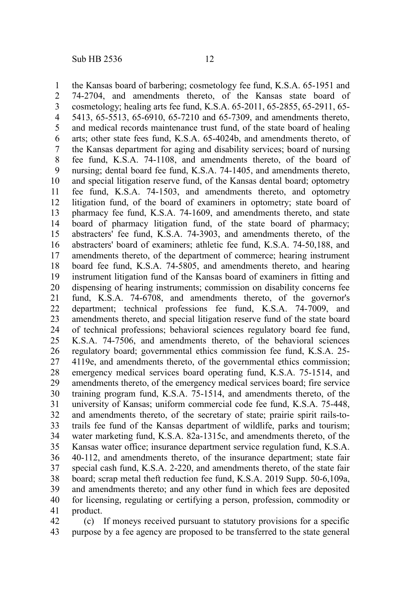the Kansas board of barbering; cosmetology fee fund, K.S.A. 65-1951 and 74-2704, and amendments thereto, of the Kansas state board of cosmetology; healing arts fee fund, K.S.A. 65-2011, 65-2855, 65-2911, 65- 5413, 65-5513, 65-6910, 65-7210 and 65-7309, and amendments thereto, and medical records maintenance trust fund, of the state board of healing arts; other state fees fund, K.S.A. 65-4024b, and amendments thereto, of the Kansas department for aging and disability services; board of nursing fee fund, K.S.A. 74-1108, and amendments thereto, of the board of nursing; dental board fee fund, K.S.A. 74-1405, and amendments thereto, and special litigation reserve fund, of the Kansas dental board; optometry fee fund, K.S.A. 74-1503, and amendments thereto, and optometry litigation fund, of the board of examiners in optometry; state board of pharmacy fee fund, K.S.A. 74-1609, and amendments thereto, and state board of pharmacy litigation fund, of the state board of pharmacy; abstracters' fee fund, K.S.A. 74-3903, and amendments thereto, of the abstracters' board of examiners; athletic fee fund, K.S.A. 74-50,188, and amendments thereto, of the department of commerce; hearing instrument board fee fund, K.S.A. 74-5805, and amendments thereto, and hearing instrument litigation fund of the Kansas board of examiners in fitting and dispensing of hearing instruments; commission on disability concerns fee fund, K.S.A. 74-6708, and amendments thereto, of the governor's department; technical professions fee fund, K.S.A. 74-7009, and amendments thereto, and special litigation reserve fund of the state board of technical professions; behavioral sciences regulatory board fee fund, K.S.A. 74-7506, and amendments thereto, of the behavioral sciences regulatory board; governmental ethics commission fee fund, K.S.A. 25- 4119e, and amendments thereto, of the governmental ethics commission; emergency medical services board operating fund, K.S.A. 75-1514, and amendments thereto, of the emergency medical services board; fire service training program fund, K.S.A. 75-1514, and amendments thereto, of the university of Kansas; uniform commercial code fee fund, K.S.A. 75-448, and amendments thereto, of the secretary of state; prairie spirit rails-totrails fee fund of the Kansas department of wildlife, parks and tourism; water marketing fund, K.S.A. 82a-1315c, and amendments thereto, of the Kansas water office; insurance department service regulation fund, K.S.A. 40-112, and amendments thereto, of the insurance department; state fair special cash fund, K.S.A. 2-220, and amendments thereto, of the state fair board; scrap metal theft reduction fee fund, K.S.A. 2019 Supp. 50-6,109a, and amendments thereto; and any other fund in which fees are deposited for licensing, regulating or certifying a person, profession, commodity or product. 1 2 3 4 5 6 7 8 9 10 11 12 13 14 15 16 17 18 19 20 21 22 23 24 25 26 27 28 29 30 31 32 33 34 35 36 37 38 39 40 41

(c) If moneys received pursuant to statutory provisions for a specific purpose by a fee agency are proposed to be transferred to the state general 42 43